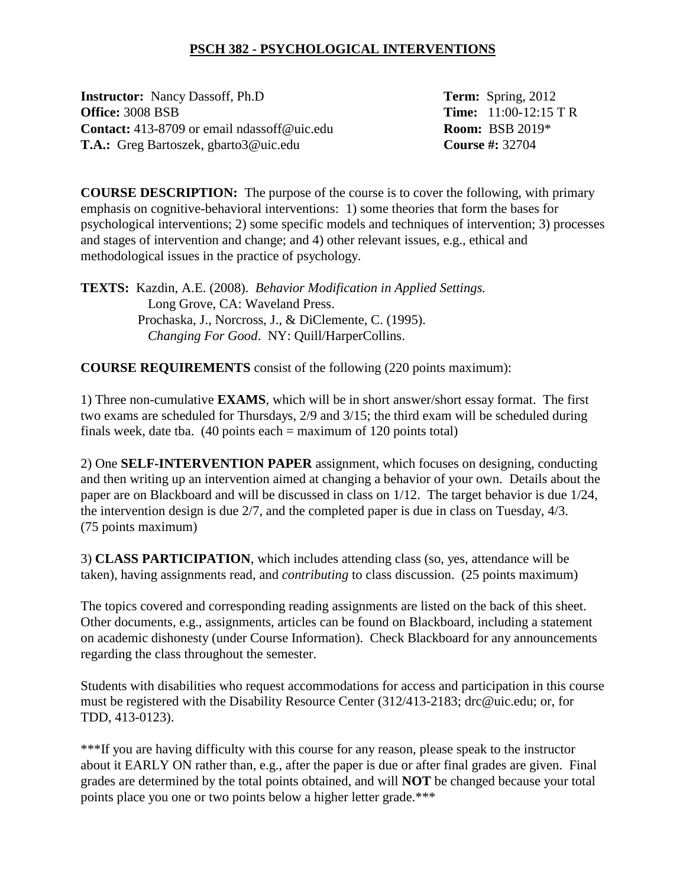## **PSCH 382 - PSYCHOLOGICAL INTERVENTIONS**

**Instructor:** Nancy Dassoff, Ph.D **Term:** Spring, 2012 **Office:** 3008 BSB **Time:** 11:00-12:15 T R **Contact:**  $413-8709$  or email ndassoff@uic.edu **Room:** BSB 2019\* **T.A.:** Greg Bartoszek, gbarto3@uic.edu **Course #:** 32704

**COURSE DESCRIPTION:** The purpose of the course is to cover the following, with primary emphasis on cognitive-behavioral interventions: 1) some theories that form the bases for psychological interventions; 2) some specific models and techniques of intervention; 3) processes and stages of intervention and change; and 4) other relevant issues, e.g., ethical and methodological issues in the practice of psychology.

**TEXTS:** Kazdin, A.E. (2008). *Behavior Modification in Applied Settings.* Long Grove, CA: Waveland Press. Prochaska, J., Norcross, J., & DiClemente, C. (1995). *Changing For Good*. NY: Quill/HarperCollins.

**COURSE REQUIREMENTS** consist of the following (220 points maximum):

1) Three non-cumulative **EXAMS**, which will be in short answer/short essay format. The first two exams are scheduled for Thursdays, 2/9 and 3/15; the third exam will be scheduled during finals week, date tba.  $(40 \text{ points each} = \text{maximum of } 120 \text{ points total})$ 

2) One **SELF-INTERVENTION PAPER** assignment, which focuses on designing, conducting and then writing up an intervention aimed at changing a behavior of your own. Details about the paper are on Blackboard and will be discussed in class on 1/12. The target behavior is due 1/24, the intervention design is due 2/7, and the completed paper is due in class on Tuesday, 4/3. (75 points maximum)

3) **CLASS PARTICIPATION**, which includes attending class (so, yes, attendance will be taken), having assignments read, and *contributing* to class discussion. (25 points maximum)

The topics covered and corresponding reading assignments are listed on the back of this sheet. Other documents, e.g., assignments, articles can be found on Blackboard, including a statement on academic dishonesty (under Course Information). Check Blackboard for any announcements regarding the class throughout the semester.

Students with disabilities who request accommodations for access and participation in this course must be registered with the Disability Resource Center (312/413-2183; drc@uic.edu; or, for TDD, 413-0123).

\*\*\*If you are having difficulty with this course for any reason, please speak to the instructor about it EARLY ON rather than, e.g., after the paper is due or after final grades are given. Final grades are determined by the total points obtained, and will **NOT** be changed because your total points place you one or two points below a higher letter grade.\*\*\*